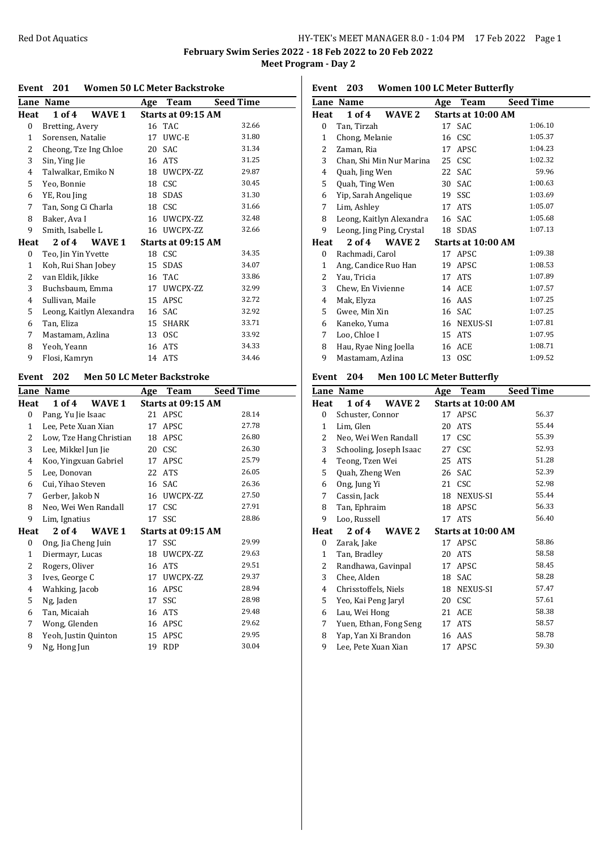## Red Dot Aquatics **HY-TEK's MEET MANAGER 8.0 - 1:04 PM** 17 Feb 2022 Page 1

**February Swim Series 2022 - 18 Feb 2022 to 20 Feb 2022 Meet Program - Day 2**

### **Event 201 Women 50 LC Meter Backstroke**

|              | Lane Name                | Age | Team               | <b>Seed Time</b> |
|--------------|--------------------------|-----|--------------------|------------------|
| Heat         | 1 of 4<br>WAVE 1         |     | Starts at 09:15 AM |                  |
| 0            | Bretting, Avery          |     | 16 TAC             | 32.66            |
| 1            | Sorensen, Natalie        | 17  | UWC-E              | 31.80            |
| 2            | Cheong, Tze Ing Chloe    | 20  | SAC                | 31.34            |
| 3            | Sin, Ying Jie            | 16  | <b>ATS</b>         | 31.25            |
| 4            | Talwalkar, Emiko N       |     | 18 UWCPX-ZZ        | 29.87            |
| 5            | Yeo, Bonnie              |     | 18 CSC             | 30.45            |
| 6            | YE, Rou Jing             | 18  | SDAS               | 31.30            |
| 7            | Tan, Song Ci Charla      |     | 18 CSC             | 31.66            |
| 8            | Baker, Ava I             |     | 16 UWCPX-ZZ        | 32.48            |
| 9            | Smith, Isabelle L        |     | 16 UWCPX-ZZ        | 32.66            |
| Heat         | 2 of 4<br>WAVE 1         |     | Starts at 09:15 AM |                  |
| 0            | Teo, Jin Yin Yvette      |     | 18 CSC             | 34.35            |
| $\mathbf{1}$ | Koh, Rui Shan Jobey      | 15  | SDAS               | 34.07            |
| 2            | van Eldik, Jikke         | 16  | TAC                | 33.86            |
| 3            | Buchsbaum, Emma          | 17  | UWCPX-ZZ           | 32.99            |
| 4            | Sullivan, Maile          | 15  | APSC               | 32.72            |
| 5            | Leong, Kaitlyn Alexandra | 16  | SAC                | 32.92            |
| 6            | Tan, Eliza               | 15  | <b>SHARK</b>       | 33.71            |
| 7            | Mastamam, Azlina         | 13  | <b>OSC</b>         | 33.92            |
| 8            | Yeoh, Yeann              | 16  | <b>ATS</b>         | 34.33            |
| 9            | Flosi, Kamryn            |     | 14 ATS             | 34.46            |
|              |                          |     |                    |                  |

## **Event 202 Men 50 LC Meter Backstroke**

|              | Lane Name               | Age | Team               | <b>Seed Time</b> |
|--------------|-------------------------|-----|--------------------|------------------|
| Heat         | 1 of 4<br>WAVE 1        |     | Starts at 09:15 AM |                  |
| $\bf{0}$     | Pang, Yu Jie Isaac      |     | 21 APSC            | 28.14            |
| $\mathbf{1}$ | Lee, Pete Xuan Xian     | 17  | APSC               | 27.78            |
| 2            | Low, Tze Hang Christian | 18  | APSC               | 26.80            |
| 3            | Lee, Mikkel Jun Jie     |     | 20 CSC             | 26.30            |
| 4            | Koo, Yingxuan Gabriel   | 17  | APSC               | 25.79            |
| 5            | Lee, Donovan            | 22  | <b>ATS</b>         | 26.05            |
| 6            | Cui, Yihao Steven       |     | 16 SAC             | 26.36            |
| 7            | Gerber, Jakob N         |     | 16 UWCPX-ZZ        | 27.50            |
| 8            | Neo, Wei Wen Randall    | 17  | <b>CSC</b>         | 27.91            |
| 9            | Lim, Ignatius           |     | 17 SSC             | 28.86            |
| Heat         | 2 of 4<br>WAVE 1        |     | Starts at 09:15 AM |                  |
| 0            | Ong, Jia Cheng Juin     |     | 17 SSC             | 29.99            |
| $\mathbf{1}$ | Diermayr, Lucas         |     | 18 UWCPX-ZZ        | 29.63            |
| 2            | Rogers, Oliver          |     | 16 ATS             | 29.51            |
| 3            | Ives, George C          | 17  | UWCPX-ZZ           | 29.37            |
| 4            | Wahking, Jacob          | 16  | APSC               | 28.94            |
| 5            | Ng, Jaden               | 17  | SSC                | 28.98            |
| 6            | Tan, Micaiah            | 16  | ATS                | 29.48            |
| 7            | Wong, Glenden           |     | 16 APSC            | 29.62            |
| 8            | Yeoh, Justin Quinton    | 15  | APSC               | 29.95            |
| 9            | Ng, Hong Jun            | 19  | <b>RDP</b>         | 30.04            |
|              |                         |     |                    |                  |

| Event 203 |  |  |  |  | <b>Women 100 LC Meter Butterfly</b> |
|-----------|--|--|--|--|-------------------------------------|
|-----------|--|--|--|--|-------------------------------------|

|              | Lane Name                 | Age | Team               | <b>Seed Time</b> |
|--------------|---------------------------|-----|--------------------|------------------|
| Heat         | 1 of 4<br>WAVE 2          |     | Starts at 10:00 AM |                  |
| 0            | Tan, Tirzah               |     | 17 SAC             | 1:06.10          |
| $\mathbf{1}$ | Chong, Melanie            |     | 16 CSC             | 1:05.37          |
| 2            | Zaman, Ria                | 17  | <b>APSC</b>        | 1:04.23          |
| 3            | Chan, Shi Min Nur Marina  |     | 25 CSC             | 1:02.32          |
| 4            | Quah, Jing Wen            |     | 22 SAC             | 59.96            |
| 5            | Quah, Ting Wen            |     | 30 SAC             | 1:00.63          |
| 6            | Yip, Sarah Angelique      | 19  | SSC                | 1:03.69          |
| 7            | Lim, Ashley               | 17  | <b>ATS</b>         | 1:05.07          |
| 8            | Leong, Kaitlyn Alexandra  |     | 16 SAC             | 1:05.68          |
| 9            | Leong, Jing Ping, Crystal |     | 18 SDAS            | 1:07.13          |
| Heat         | 2 of 4<br>WAVE 2          |     | Starts at 10:00 AM |                  |
| 0            | Rachmadi, Carol           | 17  | APSC               | 1:09.38          |
| 1            | Ang, Candice Ruo Han      | 19  | APSC               | 1:08.53          |
| 2            | Yau, Tricia               | 17  | ATS                | 1:07.89          |
| 3            | Chew, En Vivienne         |     | 14 ACE             | 1:07.57          |
| 4            | Mak, Elyza                |     | 16 AAS             | 1:07.25          |
| 5            | Gwee, Min Xin             |     | 16 SAC             | 1:07.25          |
| 6            | Kaneko, Yuma              |     | 16 NEXUS-SI        | 1:07.81          |
| 7            | Loo, Chloe I              |     | 15 ATS             | 1:07.95          |
| 8            | Hau, Ryae Ning Joella     | 16  | ACE                | 1:08.71          |
| 9            | Mastamam, Azlina          |     | 13 OSC             | 1:09.52          |

## **Event 204 Men 100 LC Meter Butterfly**

|                  | Lane Name               |                        | Age | Team               | <b>Seed Time</b> |
|------------------|-------------------------|------------------------|-----|--------------------|------------------|
| Heat             | $1$ of $4$              | WAVE 2                 |     | Starts at 10:00 AM |                  |
| $\boldsymbol{0}$ | Schuster, Connor        |                        |     | 17 APSC            | 56.37            |
| 1                | Lim, Glen               |                        | 20  | <b>ATS</b>         | 55.44            |
| 2                | Neo, Wei Wen Randall    |                        |     | 17 CSC             | 55.39            |
| 3                | Schooling, Joseph Isaac |                        | 27  | CSC                | 52.93            |
| 4                | Teong, Tzen Wei         |                        | 25  | ATS                | 51.28            |
| 5                | Quah, Zheng Wen         |                        |     | 26 SAC             | 52.39            |
| 6                | Ong, Jung Yi            |                        |     | 21 CSC             | 52.98            |
| 7                | Cassin, Jack            |                        |     | 18 NEXUS-SI        | 55.44            |
| 8                | Tan, Ephraim            |                        |     | 18 APSC            | 56.33            |
| 9                | Loo, Russell            |                        |     | 17 ATS             | 56.40            |
| Heat             | 2 of 4                  | WAVE 2                 |     | Starts at 10:00 AM |                  |
| 0                | Zarak, Jake             |                        |     | 17 APSC            | 58.86            |
| 1                | Tan, Bradley            |                        |     | 20 ATS             | 58.58            |
| 2                | Randhawa, Gavinpal      |                        | 17  | APSC               | 58.45            |
| 3                | Chee, Alden             |                        |     | 18 SAC             | 58.28            |
| 4                | Chrisstoffels, Niels    |                        |     | 18 NEXUS-SI        | 57.47            |
| 5                | Yeo, Kai Peng Jaryl     |                        |     | 20 CSC             | 57.61            |
| 6                | Lau, Wei Hong           |                        |     | 21 ACE             | 58.38            |
| 7                |                         | Yuen, Ethan, Fong Seng |     | 17 ATS             | 58.57            |
| 8                | Yap, Yan Xi Brandon     |                        |     | 16 AAS             | 58.78            |
| 9                | Lee, Pete Xuan Xian     |                        | 17  | APSC               | 59.30            |
|                  |                         |                        |     |                    |                  |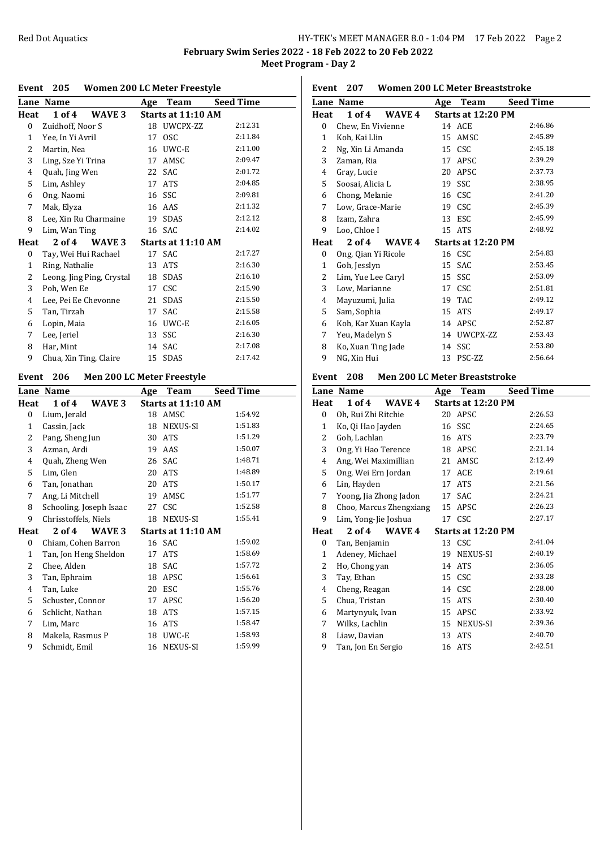## Red Dot Aquatics **EXECUTE:** HY-TEK's MEET MANAGER 8.0 - 1:04 PM 17 Feb 2022 Page 2

**Event 207 Women 200 LC Meter Breaststroke**

**February Swim Series 2022 - 18 Feb 2022 to 20 Feb 2022 Meet Program - Day 2**

### **Event 205 Women 200 LC Meter Freestyle**

|                | Lane Name                       | Age | Team               | <b>Seed Time</b> |
|----------------|---------------------------------|-----|--------------------|------------------|
| Heat           | $1$ of $4$<br>WAVE <sub>3</sub> |     | Starts at 11:10 AM |                  |
| 0              | Zuidhoff, Noor S                |     | 18 UWCPX-ZZ        | 2:12.31          |
| $\mathbf{1}$   | Yee, In Yi Avril                | 17  | <b>OSC</b>         | 2:11.84          |
| 2              | Martin, Nea                     | 16  | UWC-E              | 2:11.00          |
| 3              | Ling, Sze Yi Trina              | 17  | AMSC               | 2:09.47          |
| 4              | Quah, Jing Wen                  | 22  | <b>SAC</b>         | 2:01.72          |
| 5              | Lim, Ashley                     | 17  | <b>ATS</b>         | 2:04.85          |
| 6              | Ong, Naomi                      | 16  | SSC                | 2:09.81          |
| 7              | Mak, Elyza                      |     | 16 AAS             | 2:11.32          |
| 8              | Lee, Xin Ru Charmaine           | 19  | SDAS               | 2:12.12          |
| 9              | Lim, Wan Ting                   |     | 16 SAC             | 2:14.02          |
| Heat           | 2 of 4<br>WAVE 3                |     | Starts at 11:10 AM |                  |
| 0              | Tay, Wei Hui Rachael            |     | 17 SAC             | 2:17.27          |
| $\mathbf{1}$   | Ring, Nathalie                  | 13  | <b>ATS</b>         | 2:16.30          |
| 2              | Leong, Jing Ping, Crystal       | 18  | SDAS               | 2:16.10          |
| 3              | Poh, Wen Ee                     | 17  | <b>CSC</b>         | 2:15.90          |
| $\overline{4}$ | Lee, Pei Ee Chevonne            | 21  | SDAS               | 2:15.50          |
| 5              | Tan, Tirzah                     | 17  | SAC                | 2:15.58          |
| 6              | Lopin, Maia                     | 16  | UWC-E              | 2:16.05          |
| 7              | Lee, Jeriel                     | 13  | SSC                | 2:16.30          |
| 8              | Har, Mint                       | 14  | <b>SAC</b>         | 2:17.08          |
| 9              | Chua, Xin Ting, Claire          |     | 15 SDAS            | 2:17.42          |

### **Event 206 Men 200 LC Meter Freestyle**

|                | Lane Name               | Age | Team               | Seed Time |
|----------------|-------------------------|-----|--------------------|-----------|
| Heat           | $1$ of $4$<br>WAVE 3    |     | Starts at 11:10 AM |           |
| $\bf{0}$       | Lium, Jerald            |     | 18 AMSC            | 1:54.92   |
| 1              | Cassin, Jack            | 18  | NEXUS-SI           | 1:51.83   |
| 2              | Pang, Sheng Jun         | 30  | <b>ATS</b>         | 1:51.29   |
| 3              | Azman, Ardi             | 19  | AAS                | 1:50.07   |
| 4              | Quah, Zheng Wen         | 26  | SAC                | 1:48.71   |
| 5              | Lim, Glen               | 20  | <b>ATS</b>         | 1:48.89   |
| 6              | Tan, Jonathan           | 20  | <b>ATS</b>         | 1:50.17   |
| 7              | Ang, Li Mitchell        | 19  | AMSC               | 1:51.77   |
| 8              | Schooling, Joseph Isaac |     | 27 CSC             | 1:52.58   |
| 9              | Chrisstoffels, Niels    | 18  | NEXUS-SI           | 1:55.41   |
| Heat           | $2$ of $4$<br>WAVE 3    |     | Starts at 11:10 AM |           |
| 0              | Chiam, Cohen Barron     |     | 16 SAC             | 1:59.02   |
| 1              | Tan, Jon Heng Sheldon   | 17  | <b>ATS</b>         | 1:58.69   |
| 2              | Chee, Alden             | 18  | <b>SAC</b>         | 1:57.72   |
| 3              | Tan, Ephraim            | 18  | APSC               | 1:56.61   |
| $\overline{4}$ | Tan, Luke               | 20  | <b>ESC</b>         | 1:55.76   |
| 5              | Schuster, Connor        | 17  | <b>APSC</b>        | 1:56.20   |
| 6              | Schlicht, Nathan        | 18  | <b>ATS</b>         | 1:57.15   |
| 7              | Lim, Marc               | 16  | <b>ATS</b>         | 1:58.47   |
| 8              | Makela, Rasmus P        | 18  | UWC-E              | 1:58.93   |
| 9              | Schmidt, Emil           | 16  | <b>NEXUS-SI</b>    | 1:59.99   |
|                |                         |     |                    |           |

|      | Lane Name           | Age | Team               | Seed Time |
|------|---------------------|-----|--------------------|-----------|
| Heat | 1 of 4<br>WAVE 4    |     | Starts at 12:20 PM |           |
| 0    | Chew, En Vivienne   |     | 14 ACE             | 2:46.86   |
| 1    | Koh, Kai Llin       |     | 15 AMSC            | 2:45.89   |
| 2    | Ng, Xin Li Amanda   |     | 15 CSC             | 2:45.18   |
| 3    | Zaman, Ria          | 17  | APSC               | 2:39.29   |
| 4    | Gray, Lucie         | 20  | APSC               | 2:37.73   |
| 5    | Soosai, Alicia L    | 19  | SSC                | 2:38.95   |
| 6    | Chong, Melanie      |     | 16 CSC             | 2:41.20   |
| 7    | Low, Grace-Marie    |     | 19 CSC             | 2:45.39   |
| 8    | Izam, Zahra         |     | 13 ESC             | 2:45.99   |
| 9    | Loo, Chloe I        |     | 15 ATS             | 2:48.92   |
| Heat | 2 of 4<br>WAVE 4    |     | Starts at 12:20 PM |           |
| 0    | Ong, Qian Yi Ricole |     | 16 CSC             | 2:54.83   |
| 1    | Goh, Jesslyn        |     | 15 SAC             | 2:53.45   |
| 2    | Lim, Yue Lee Caryl  |     | 15 SSC             | 2:53.09   |
| 3    | Low, Marianne       |     | 17 CSC             | 2:51.81   |
| 4    | Mayuzumi, Julia     |     | 19 TAC             | 2:49.12   |
| 5    | Sam, Sophia         | 15  | ATS                | 2:49.17   |
| 6    | Koh, Kar Xuan Kayla |     | 14 APSC            | 2:52.87   |

# **Event 208 Men 200 LC Meter Breaststroke**

9 NG, Xin Hui

7 Yeu, Madelyn S 14 UWCPX-ZZ 2:53.43 8 Ko, Xuan Ting Jade 14 SSC 2:53.80<br>
9 NG, Xin Hui 13 PSC-ZZ 2:56.64

|                  | Lane Name               | Age | Team               | <b>Seed Time</b> |
|------------------|-------------------------|-----|--------------------|------------------|
| Heat             | $1$ of $4$<br>WAVE 4    |     | Starts at 12:20 PM |                  |
| $\boldsymbol{0}$ | Oh, Rui Zhi Ritchie     |     | 20 APSC            | 2:26.53          |
| 1                | Ko, Qi Hao Jayden       |     | 16 SSC             | 2:24.65          |
| 2                | Goh, Lachlan            |     | 16 ATS             | 2:23.79          |
| 3                | Ong, Yi Hao Terence     |     | 18 APSC            | 2:21.14          |
| 4                | Ang, Wei Maximillian    |     | 21 AMSC            | 2:12.49          |
| 5                | Ong, Wei Ern Jordan     |     | 17 ACE             | 2:19.61          |
| 6                | Lin, Hayden             |     | 17 ATS             | 2:21.56          |
| 7                | Yoong, Jia Zhong Jadon  |     | 17 SAC             | 2:24.21          |
| 8                | Choo, Marcus Zhengxiang | 15  | APSC               | 2:26.23          |
| 9                | Lim, Yong-Jie Joshua    |     | 17 CSC             | 2:27.17          |
| Heat             | 2 of 4<br>WAVE 4        |     | Starts at 12:20 PM |                  |
| $\bf{0}$         | Tan, Benjamin           |     | 13 CSC             | 2:41.04          |
| 1                | Adeney, Michael         |     | 19 NEXUS-SI        | 2:40.19          |
| 2                | Ho, Chong yan           | 14  | ATS                | 2:36.05          |
| 3                | Tay, Ethan              |     | 15 CSC             | 2:33.28          |
| 4                | Cheng, Reagan           |     | 14 CSC             | 2:28.00          |
| 5                | Chua, Tristan           | 15  | <b>ATS</b>         | 2:30.40          |
| 6                | Martynyuk, Ivan         | 15  | APSC               | 2:33.92          |
| 7                | Wilks, Lachlin          |     | 15 NEXUS-SI        | 2:39.36          |
| 8                | Liaw, Davian            | 13  | ATS                | 2:40.70          |
| 9                | Tan, Jon En Sergio      |     | 16 ATS             | 2:42.51          |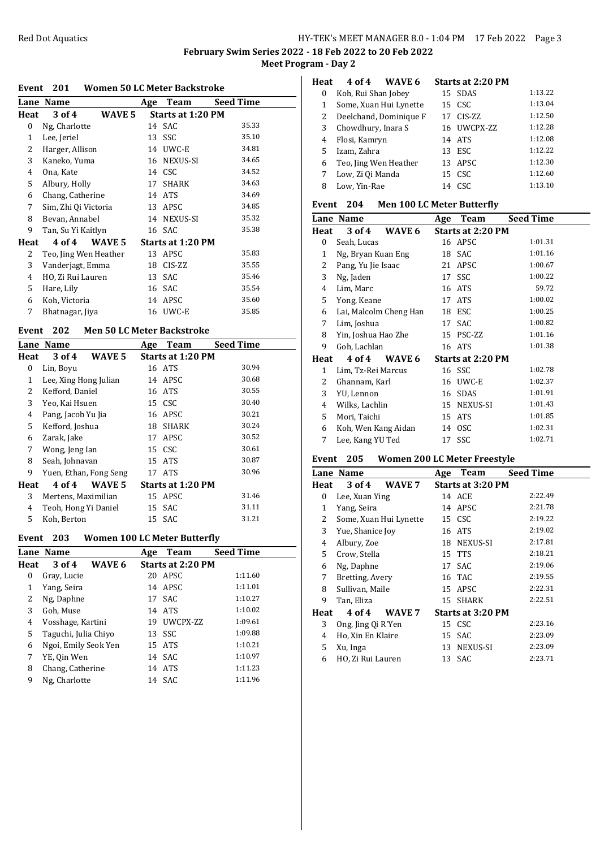**February Swim Series 2022 - 18 Feb 2022 to 20 Feb 2022 Meet Program - Day 2**

#### **Event 201 Women 50 LC Meter Backstroke**

| Lane         | <b>Name</b>           |        | Age | Team                     | <b>Seed Time</b> |
|--------------|-----------------------|--------|-----|--------------------------|------------------|
| Heat         | 3 of 4                | WAVE 5 |     | Starts at 1:20 PM        |                  |
| $\mathbf{0}$ | Ng, Charlotte         |        |     | 14 SAC                   | 35.33            |
| 1            | Lee, Jeriel           |        | 13  | SSC                      | 35.10            |
| 2            | Harger, Allison       |        | 14  | UWC-E                    | 34.81            |
| 3            | Kaneko, Yuma          |        |     | 16 NEXUS-SI              | 34.65            |
| 4            | Ona, Kate             |        |     | 14 CSC                   | 34.52            |
| 5            | Albury, Holly         |        | 17  | <b>SHARK</b>             | 34.63            |
| 6            | Chang, Catherine      |        |     | 14 ATS                   | 34.69            |
| 7            | Sim, Zhi Qi Victoria  |        |     | 13 APSC                  | 34.85            |
| 8            | Bevan, Annabel        |        |     | 14 NEXUS-SI              | 35.32            |
| 9            | Tan, Su Yi Kaitlyn    |        |     | 16 SAC                   | 35.38            |
| Heat         | 4 of 4                | WAVE 5 |     | <b>Starts at 1:20 PM</b> |                  |
| 2            | Teo, Jing Wen Heather |        |     | 13 APSC                  | 35.83            |
| 3            | Vanderjagt, Emma      |        | 18  | CIS-ZZ                   | 35.55            |
| 4            | HO, Zi Rui Lauren     |        | 13  | SAC                      | 35.46            |
| 5            | Hare, Lily            |        |     | 16 SAC                   | 35.54            |
| 6            | Koh, Victoria         |        | 14  | APSC                     | 35.60            |
| 7            | Bhatnagar, Jiya       |        |     | 16 UWC-E                 | 35.85            |
|              |                       |        |     |                          |                  |

### **Event 202 Men 50 LC Meter Backstroke**

|      | <b>Lane Name</b>            | <b>Seed Time</b><br>Team<br>Age |
|------|-----------------------------|---------------------------------|
| Heat | 3 of 4<br>WAVE <sub>5</sub> | Starts at 1:20 PM               |
| 0    | Lin, Boyu                   | 30.94<br>16 ATS                 |
| 1    | Lee, Xing Hong Julian       | 30.68<br>14 APSC                |
| 2    | Kefford, Daniel             | 30.55<br>16 ATS                 |
| 3    | Yeo, Kai Hsuen              | 30.40<br>15 CSC                 |
| 4    | Pang, Jacob Yu Jia          | 30.21<br>16 APSC                |
| 5    | Kefford, Joshua             | 30.24<br><b>SHARK</b><br>18     |
| 6    | Zarak, Jake                 | 30.52<br>APSC<br>17             |
| 7    | Wong, Jeng Ian              | 30.61<br>15 CSC                 |
| 8    | Seah, Johnavan              | 30.87<br>15 ATS                 |
| 9    | Yuen, Ethan, Fong Seng      | 30.96<br>17 ATS                 |
| Heat | 4 of 4<br>WAVE 5            | Starts at 1:20 PM               |
| 3    | Mertens, Maximilian         | 31.46<br>15 APSC                |
| 4    | Teoh, Hong Yi Daniel        | 31.11<br>SAC<br>15              |
| 5    | Koh, Berton                 | 31.21<br>15 SAC                 |

## **Event 203 Women 100 LC Meter Butterfly**

|      | <b>Lane Name</b>     | <b>Team</b><br>Age       | <b>Seed Time</b> |
|------|----------------------|--------------------------|------------------|
| Heat | WAVE 6<br>3 of 4     | <b>Starts at 2:20 PM</b> |                  |
| 0    | Gray, Lucie          | 20 APSC                  | 1:11.60          |
| 1    | Yang, Seira          | 14 APSC                  | 1:11.01          |
| 2    | Ng, Daphne           | 17 SAC                   | 1:10.27          |
| 3    | Goh, Muse            | 14 ATS                   | 1:10.02          |
| 4    | Vosshage, Kartini    | UWCPX-ZZ<br>19           | 1:09.61          |
| 5    | Taguchi, Julia Chiyo | 13 SSC                   | 1:09.88          |
| 6    | Ngoi, Emily Seok Yen | 15 ATS                   | 1:10.21          |
| 7    | YE, Qin Wen          | 14 SAC                   | 1:10.97          |
| 8    | Chang, Catherine     | 14 ATS                   | 1:11.23          |
| 9    | Ng. Charlotte        | 14 SAC                   | 1:11.96          |

## **Heat 4 of 4 WAVE 6 Starts at 2:20 PM**

| $\Omega$ | Koh, Rui Shan Jobey    |    | 15 SDAS     | 1:13.22 |
|----------|------------------------|----|-------------|---------|
| 1        | Some, Xuan Hui Lynette |    | 15 CSC      | 1:13.04 |
| 2        | Deelchand, Dominique F |    | 17 CIS-ZZ   | 1:12.50 |
| 3        | Chowdhury, Inara S     |    | 16 UWCPX-ZZ | 1:12.28 |
| 4        | Flosi, Kamryn          |    | 14 ATS      | 1:12.08 |
| 5        | Izam, Zahra            | 13 | ESC.        | 1:12.22 |
| 6        | Teo, Jing Wen Heather  |    | 13 APSC     | 1:12.30 |
| 7        | Low, Zi Qi Manda       | 15 | CSC         | 1:12.60 |
| 8        | Low, Yin-Rae           | 14 | CSC.        | 1:13.10 |
|          |                        |    |             |         |

## **Event 204 Men 100 LC Meter Butterfly**

|                     |           |                                                                                | <b>Seed Time</b>                                                                                                                                                   |
|---------------------|-----------|--------------------------------------------------------------------------------|--------------------------------------------------------------------------------------------------------------------------------------------------------------------|
| 3 of 4              |           |                                                                                |                                                                                                                                                                    |
| Seah, Lucas         |           |                                                                                | 1:01.31                                                                                                                                                            |
| Ng, Bryan Kuan Eng  |           | SAC                                                                            | 1:01.16                                                                                                                                                            |
| Pang, Yu Jie Isaac  |           | APSC                                                                           | 1:00.67                                                                                                                                                            |
| Ng, Jaden           |           |                                                                                | 1:00.22                                                                                                                                                            |
| Lim, Marc           |           |                                                                                | 59.72                                                                                                                                                              |
| Yong, Keane         | 17        | <b>ATS</b>                                                                     | 1:00.02                                                                                                                                                            |
|                     | 18        | ESC                                                                            | 1:00.25                                                                                                                                                            |
| Lim, Joshua         | 17        | SAC                                                                            | 1:00.82                                                                                                                                                            |
| Yin, Joshua Hao Zhe |           |                                                                                | 1:01.16                                                                                                                                                            |
| Goh, Lachlan        |           |                                                                                | 1:01.38                                                                                                                                                            |
| 4 of 4              |           |                                                                                |                                                                                                                                                                    |
| Lim, Tz-Rei Marcus  |           |                                                                                | 1:02.78                                                                                                                                                            |
| Ghannam, Karl       | 16        | UWC-E                                                                          | 1:02.37                                                                                                                                                            |
| YU, Lennon          | 16        | <b>SDAS</b>                                                                    | 1:01.91                                                                                                                                                            |
| Wilks, Lachlin      | 15        |                                                                                | 1:01.43                                                                                                                                                            |
| Mori, Taichi        | 15        |                                                                                | 1:01.85                                                                                                                                                            |
|                     |           |                                                                                | 1:02.31                                                                                                                                                            |
| Lee, Kang YU Ted    |           |                                                                                | 1:02.71                                                                                                                                                            |
|                     | Lane Name | Age<br>WAVE 6<br>21<br>Lai, Malcolm Cheng Han<br>WAVE 6<br>Koh, Wen Kang Aidan | Team<br><b>Starts at 2:20 PM</b><br>16 APSC<br>18<br>17 SSC<br>16 ATS<br>15 PSC-ZZ<br>16 ATS<br>Starts at 2:20 PM<br>16 SSC<br>NEXUS-SI<br>ATS<br>14 OSC<br>17 SSC |

## **Event 205 Women 200 LC Meter Freestyle**

|      | Lane Name              |        | Age | Team                     | <b>Seed Time</b> |
|------|------------------------|--------|-----|--------------------------|------------------|
| Heat | 3 of 4                 | WAVE 7 |     | <b>Starts at 3:20 PM</b> |                  |
| 0    | Lee, Xuan Ying         |        |     | 14 ACE                   | 2:22.49          |
| 1    | Yang, Seira            |        |     | 14 APSC                  | 2:21.78          |
| 2    | Some, Xuan Hui Lynette |        |     | 15 CSC                   | 2:19.22          |
| 3    | Yue, Shanice Joy       |        |     | 16 ATS                   | 2:19.02          |
| 4    | Albury, Zoe            |        |     | 18 NEXUS-SI              | 2:17.81          |
| 5    | Crow, Stella           |        |     | 15 TTS                   | 2:18.21          |
| 6    | Ng, Daphne             |        |     | 17 SAC                   | 2:19.06          |
| 7    | Bretting, Avery        |        |     | 16 TAC                   | 2:19.55          |
| 8    | Sullivan, Maile        |        |     | 15 APSC                  | 2:22.31          |
| 9    | Tan, Eliza             |        |     | 15 SHARK                 | 2:22.51          |
| Heat | 4 of 4                 | WAVE 7 |     | Starts at 3:20 PM        |                  |
| 3    | Ong, Jing Qi R'Yen     |        |     | 15 CSC                   | 2:23.16          |
| 4    | Ho, Xin En Klaire      |        |     | 15 SAC                   | 2:23.09          |
| 5    | Xu, Inga               |        |     | 13 NEXUS-SI              | 2:23.09          |
| 6    | HO, Zi Rui Lauren      |        |     | 13 SAC                   | 2:23.71          |